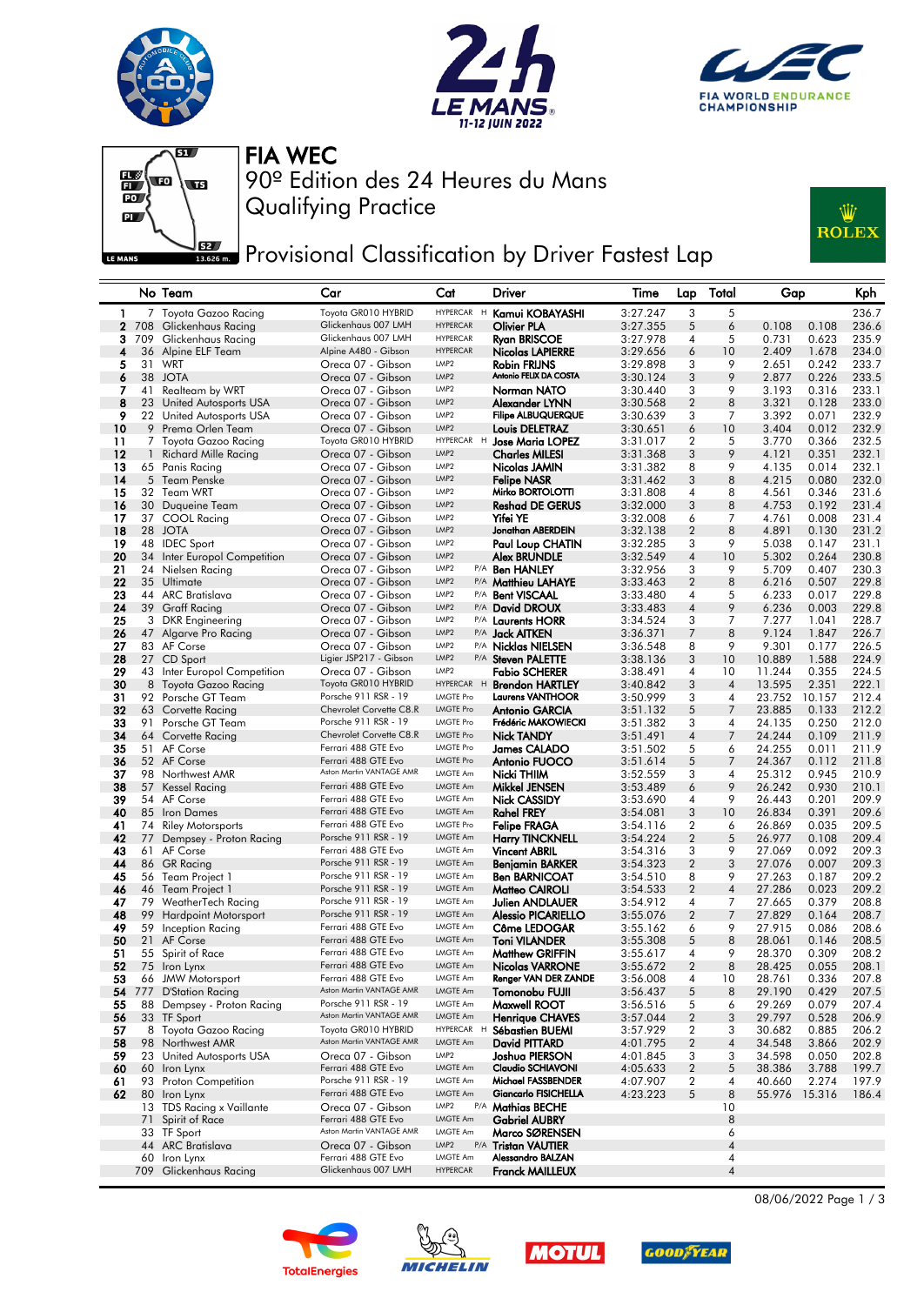







FIA WEC

Qualifying Practice 90º Edition des 24 Heures du Mans

Provisional Classification by Driver Fastest Lap



## No Team Car Cat Driver Time Lap Total Gap Kph 1 7 Toyota Gazoo Racing Toyota GR010 HYBRID HYPERCAR <sup>H</sup> Kamui KOBAYASHI 3:27.247 3 5 236.7 2 708 Glickenhaus Racing Glickenhaus 007 LMH HYPERCAR Olivier PLA 3:27.355 5 6 0.108 0.108 236.6 3 709 Glickenhaus Racing Glickenhaus 007 LMH HYPERCAR Ryan BRISCOE 3:27.978 4 5 0.731 0.623 235.9 4 36 Alpine ELF Team Alpine A480 - Gibson HYPERCAR Nicolas LAPIERRE 3:29.656 6 10 2.409 1.678 234.0 5 31 WRT Oreca 07 - Gibson LMP2 Robin FRIJNS 3:29.898 3 9 2.651 0.242 233.7 38 JOTA Oreca 07 - Gibson 6 LMP2 Antonio FELIX DA COSTA 3:30.124 3 9 2.877 0.226 233.5 Oreca 07 - Gibson UMP2 **Norman NATO** 3:30.440 3 9<br>
Oreca 07 - Gibson UMP2 **Alexander LYNN** 3:30.568 2 8<br>
Oreca 07 - Gibson UMP2 **Filipe ALBUQUERQUE** 3:30.639 3 7 8 23 United Autosports USA Oreca 07 - Gibson LMP2 Alexander LYNN 3:30.568 2 8 3.321 0.128 233.0 9 22 United Autosports USA Oreca 07 - Gibson LMP2 Filipe ALBUQUERQUE 3:30.639 3 7 3.392 0.071 232.9 10 9 Prema Orlen Team Oreca 07 - Gibson LMP2 Louis DELETRAZ 3:30.651 6 10 3.404 0.012 232.9 11 7 Toyota Gazoo Racing Toyota GR010 HYBRID HYPERCAR <sup>H</sup> Jose Maria LOPEZ 3:31.017 2 5 3.770 0.366 232.5 12 1 Richard Mille Racing Creca 07 - Gibson LMP2 **Charles MILESI** 3:31.368 3 9 4.121 0.351 232.1<br>13 65 Panis Racina Creca 07 - Gibson LMP2 **Nicolas IAMIN** 3:31.382 8 9 4.135 0.014 232.1 13 65 Panis Racing Oreca 07 - Gibson LMP2 Nicolas JAMIN 3:31.382 8 9 4.135 0.014 232.1 14 5 Team Penske Oreca 07 - Gibson LMP2 Felipe NASR 3:31.462 3 8 4.215 0.080 232.0 15 32 Team WRT Oreca 07 - Gibson LMP2 Mirko BORTOLOTTI 3:31.808 4 8 4.561 0.346 231.6 16 30 Duqueine Team Oreca 07 - Gibson LMP2 Reshad DE GERUS 3:32.000 3 8 4.753 0.192 231.4 17 37 COOL Racing Oreca 07 - Gibson LMP2 Yifei YE 3:32.008 6 7 4.761 0.008 231.4 18 28 JOTA Oreca 07 - Gibson LMP2 Jonathan ABERDEIN 3:32.138 2 8 4.891 0.130 231.2 19 19 19 19 Oreca 07 - Gibson LMP2 Paul Loup CHA<br>19 19 20 20 19 20 20 19 3.047 Alex BRUNDLE 20 34 Inter Europol Competition Creca 07 - Gibson LMP2 Alex BRUNDLE 3:32.549 4 10 5.302 0.264 230.8<br>21 24 Nielsen Racing Creca 07 - Gibson LMP2 P/A Ben HANLEY 3:32.956 3 9 5.709 0.407 230.3 21 24 Nielsen Racing **Oreca 07 - Gibson** UMP2 P/A Ben HANLEY 3:32.956 3 9 5.709 0.407 230.3<br>22 35 Ultimate **Oreca 07 - Gibson** UMP2 P/A Matthieu LAHAYE 3:33.463 2 8 6.216 0.507 229.8 22 35 Ultimate Creca 07 - Gibson LMP2 P/A Matthieu LAHAYE 3:33.463 2 8 6.216 0.507 229.8<br>23 44 ARC Bratislava Creca 07 - Gibson LMP2 P/A Bent VISCAAL 3:33.480 4 5 6.233 0.017 229.8 23 44 ARC Bratislava Oreca 07 - Gibson LMP2 P/A Bent VISCAAL 3:33.480 4 5 6.233 0.017 229.8 Oreca 07 - Gibson 25 3 DKR Engineering Oreca 07 - Gibson LMP2 P/A Laurents HORR 3:34.524 3 7 7.277 1.041 228.7 26 47 Algarve Pro Racing Creca 07 - Gibson LMP2 P/A Jack AITKEN 3:36.371 7 8 9.124 1.847 226.7<br>27 83 AF Corse Creca 07 - Gibson LMP2 P/A Nicklas NIFLSEN 3:36.548 8 9 9.301 0.177 226.5 27 83 AF Corse Oreca 07 - Gibson LMP2 P/A Nicklas NIELSEN 3:36.548 8 9 9.301 0.177 226.5 28 27 CD Sport Ligier JSP217 - Gibson LMP2 P/A Steven PALETTE 3:38.136 3 10 10.889 1.588 224.9<br>29 43 Inter Europol Competition Oreca 07 - Gibson LMP2 **Fabio SCHERER** 3:38.491 4 10 11.244 0.355 224.9 29 43 Inter Europol Competition Oreca 07 - Gibson LMP2 **Fabio SCHERER** 3:38.491 4 10 11.244 0.355 224.5<br>20 8 Toyota Gazoo Racing Toyota GR010 HYBRID HYPERCAR H **Brendon HARTLEY** 3:40.842 3 4 13.595 2.351 222.1 30 Toyota Gazoo Racing Toyota GR010 HYBRID HYPERCAR H **Brendon HARTLEY** 3:40.842 3 4 13.595 2.351 222.1<br>31 92 Porsche GT Team Porsche 911 RSR - 19 LMGTE Pro Laurens VANTHOOR 3:50.999 3 4 23.752 10.157 212.4 31 92 Porsche GT Team Porsche 911 RSR - 19 LMGTE Pro Laurens VANTHOOR 3:50.999 3 4 23.752 10.157 212.4 32 63 Corvette Racing Chevrolet Corvette C8.R LMGTE Pro Antonio GARCIA 3:51.132 5<br>33 91 Porsche GT Team Porsche 911 RSR - 19 LMGTE Pro Frédéric MAKOWIECKI 3:51.382 3 33 91 Porsche GT Team Porsche 911 RSR - 19 LMGTE Pro Prédéric MAKOWIECKI 3:51.382 3 4 24.135 0.250 212.0<br>34 64 Corvette Racing Chevrolet Corvette C8.R LMGTE Pro Nick TANDY 3:51.491 4 7 24.244 0.109 211.9 34 64 Corvette Racing Chevrolet Corvette C8.R LMGTE Pro Nick TANDY 3:51.491 4 7 24.244 0.109 211.9 35 51 AF Corse Ferrari 488 GTE Evo LMGTE Pro James CALADO 3:51.502 5 6 24.255 0.011 211.9 36 52 AF Corse Ferrari 488 GTE Evo LMGTE Pro Antonio FUOCO 3:51.614 5 7 24.367 0.112 211.8<br>37 98 Northwest AMR Aston Martin VANTAGE AMR LMGTE Am Ni**cki THIIM** 3:52.559 3 4 25.312 0.945 210.9 98 Northwest AMR 37 Aston Martin VANTAGE AMR LMGTE Am Nicki THIIM 3:52.559 3 4 25.312 0.945 210.9 38 57 Kessel Racing Ferrari 488 GTE Evo LMGTE Am Mikkel JENSEN 3:53.489 6 9 26.242 0.930 210.1 39 54 AF Corse Ferrari 488 GTE Evo LMGTE Am Nick CASSIDY 3:53.690 4 9 26.443 0.201 209.9 40 85 Iron Dames Ferrari 488 GTE Evo LMGTE Am Rahel FREY 3:54.081 3 10 26.834 0.391 209.6 Riley Motorsports Ferrari 488 GTE Evo LMGTE Pro Felipe FRAGA 3:54.116 2 6 42 77 Dempsey - Proton Racing Porsche 911 RSR - 19 LMGTE Am Harry TINCKNELL 3:54.224 2 5 26.977 0.108 209.4 **43** 61 AF Corse **Ferrari 488 GTE Evo** LMGTE Am **Vincent ABRIL** 3:54.316 3 9 27.069 0.092 209.3 44 86 GR Racing Porsche 911 RSR - 19 LMGTE Am Benjamin BARKER 3:54.323 2 3 27.076 0.007 209.3 16 Team Project 1 Porsche 911 RSR - 19 LMGTE Am **Ben BARNICOAT** 3:54.510 8 9 27.263 0.187 209.2<br>16 Team Project 1 Porsche 911 RSR - 19 LMGTE Am **Matteo CAIROLL** 3:54.533 2 4 27.286 0.023 209.2 46 46 Team Project 1 Porsche 911 RSR - 19 LMGTE Am Matteo CAIROLI 3:54.533 2 4 27.286 0.023 209.2 46 46 Team Project 1 Porsche 911 RSR - 19 LMGTE Am **Aditeo CAIROLI** 3:54.533 2 4 27.286 0.023 209.2<br>17 79 WeatherTech Racing Porsche 911 RSR - 19 LMGTE Am **Julien ANDLAUER** 3:54.912 4 7 27.665 0.379 208.8<br>18 99 Hardpoint M 48 99 Hardpoint Motorsport Porsche 911 RSR - 19 LMGTE Am Alessio PICARIELLO 3:55.076 2 7 27.829 0.164 208.7<br>19 59 Inception Racing Ferrari 488 GTE Evo LMGTE Am Côme LEDOGAR 3:55.162 6 9 27.915 0.086 208.6 49 59 Inception Racing Ferrari 488 GTE Evo LMGTE Am Côme LEDOGAR 3:55.162 6 9 27.915 0.086 208.6<br>50 21 AF Corse Ferrari 488 GTE Evo LMGTE Am Toni VILANDER 3:55.308 5 8 28.061 0.146 208.5 50 21 AF Corse **Ferrari 488 GTE Evo** LMGTE Am Toni VILANDER 3:55.308 5 8 28.061 0.146 208.5 51 55 Spirit of Race Ferrari 488 GTE Evo LMGTE Am Matthew GRIFFIN 3:55.617 4 9 28.370 0.309 208.2 52 75 Iron Lynx<br>
53 66 JMW Motorsport Ferrari 488 GTE Evo LMGTE Am **Nicolas VARRONE** 3:55.672 2 8 28.425 0.055 208.1<br>
53 66 JMW Motorsport Ferrari 488 GTE Evo LMGTE Am Renger VAN DER ZANDE 3:56.008 4 10 28.761 0.336 207.8 53 66 JMW Motorsport Ferrari 488 GTE Evo LMGTE Am Renger VAN DER ZANDE 3:56.008 4 10 28.761 0.336 207.8<br>54 777 D'Station Racing Aston Martin VANTAGE AMR LMGTE Am Tomonobu FUJII 3:56.437 5 8 29.190 0.429 207.5 777 D'Station Racing Aston Martin VANTAGE AMR 54 LMGTE Am Tomonobu FUJII 3:56.437 5 8 29.190 0.429 207.5 55 88 Dempsey - Proton Racing Porsche 911 RSR - 19 LMGTE Am Maxwell ROOT 3:56.516 5 6 29.269 0.079 207.4<br>56 33 TF Sport Aston Martin VANTAGE AMR LMGTE Am Henrique CHAVES 3:57.044 2 3 29.797 0.528 206.9 56 33 TF Sport **56 Aston Martin VANTAGE AMR** LMGTE Am **Henrique CHAVES** 3:57.044 2 3 29.797 0.528 206.9<br>1996 Toyota Gazoo Racing Toyota GR010 HYBRID HYPERCAR H Sébastien BUEMI 3:57.929 2 3 30.682 0.885 206.2 57 8 Toyota Gazoo Racing Toyota GR010 HYBRID HYPERCAR H Sébastien BUEMI 3:57.929 2 3 30.682 0.885 206.2<br>58 98 Northwest AMR Aston Martin VANTAGE AMR LMGTE Am Da**vid PITTARD** 4:01.795 2 4 34.548 3.866 202.9 98 Northwest AMR 58 Aston Martin VANTAGE AMR LMGTE Am David PITTARD 4:01.795 2 4 34.548 3.866 202.9 59 23 United Autosports USA Oreca 07 - Gibson LMP2 Joshua PIERSON 4:01.845 3 3 34.598 0.050 202.8 60 60 Iron Lynx Ferrari 488 GTE Evo LMGTE Am Claudio SCHIAVONI 4:05.633 2 5 38.386 3.788 199.7 61 93 Proton Competition Porsche 911 RSR - 19 LMGTE Am **Michael FASSBENDER** 4:07.907 2 4 40.660 2.274 197.9<br>62 80 Iron Lynx Ferrari 488 GTE Evo LMGTE Am Giancarlo FISICHELLA 4:23.223 5 8 55.976 15.316 186.4 62 80 Iron Lynx Ferrari 488 GTE Evo LMGTE Am Giancarlo FISICHELLA 4:23.223 5 8 55.976 15.316 186.4 13 TDS Racing x Vaillante Creca 07 - Gibson LMP2 P/A **Mathias BECHE** 10<br>10 T1 Spirit of Race **Property Accord Accord LMGTE Am** Gabriel AUBRY Ferrari 488 GTE Evo LMGTE Am Gabriel AUBRY<br>Aston Martin VANTAGE AMR LMGTE Am **Marco SØRENSEN** 66 33 TF Sport Aston Martin VANTAGE AMR LMGTE Am Marco SØRENSEN 6 44 ARC Bratislava Oreca 07 - Gibson LMP2 P/A Tristan VAUTIER 4 60 Iron Lynx Ferrari 488 GTE Evo LMGTE Am **Alessandro BALZAN** 4 709 Glickenhaus Racing Glickenhaus 007 LMH HYPERCAR **Franck MAILLEUX** 44









08/06/2022 Page 1 / 3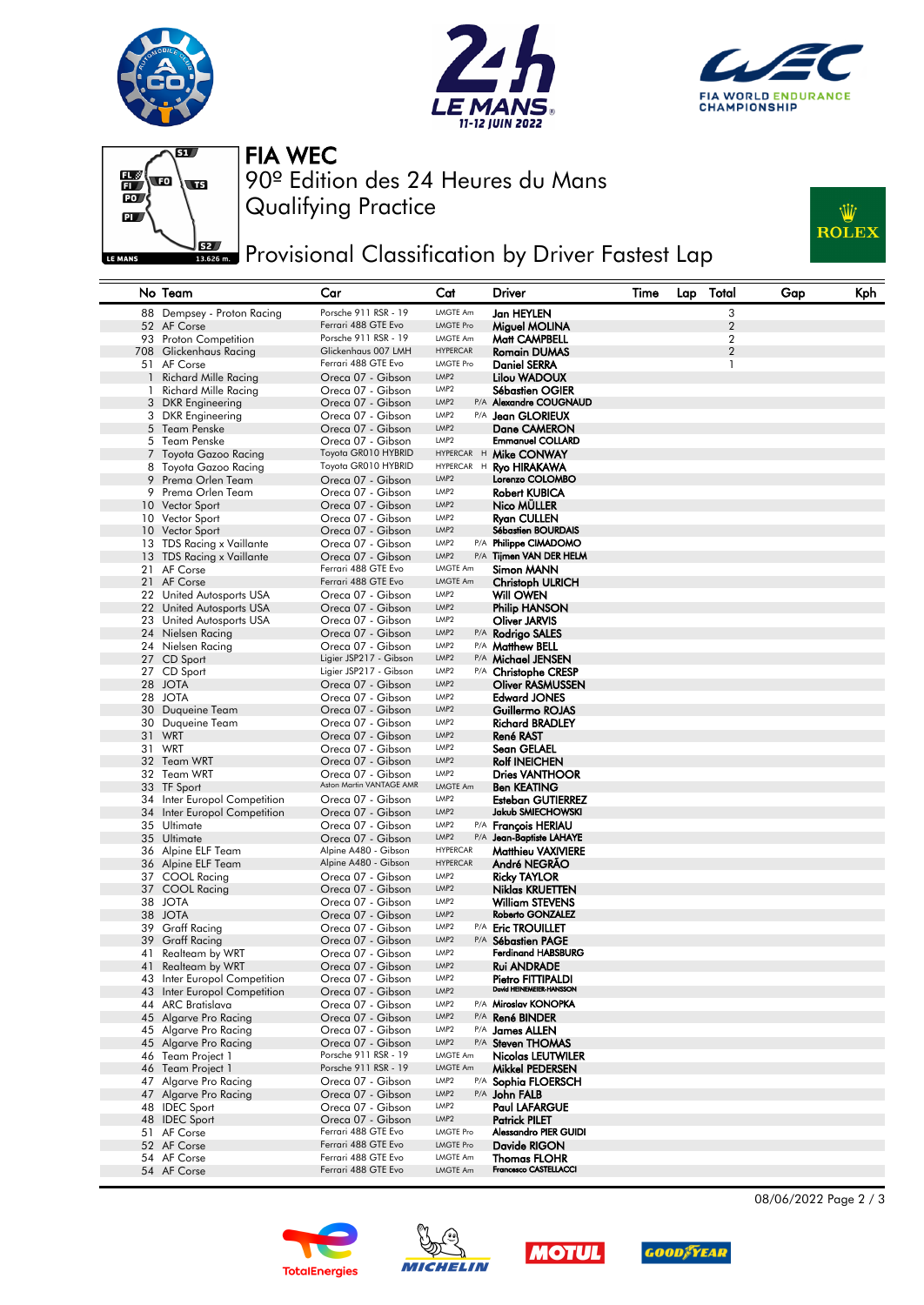







Qualifying Practice 90º Edition des 24 Heures du Mans FIA WEC

**JERE** Provisional Classification by Driver Fastest Lap



|              | No Team                      | Car                                          | Cat                                  | <b>Driver</b>                         | Time | Lap | Total          | Gap | Kph |
|--------------|------------------------------|----------------------------------------------|--------------------------------------|---------------------------------------|------|-----|----------------|-----|-----|
|              | 88 Dempsey - Proton Racing   | Porsche 911 RSR - 19                         | LMGTE Am                             | Jan HEYLEN                            |      |     | 3              |     |     |
|              | 52 AF Corse                  | Ferrari 488 GTE Evo                          | <b>LMGTE Pro</b>                     | Miguel MOLINA                         |      |     | $\overline{2}$ |     |     |
|              | 93 Proton Competition        | Porsche 911 RSR - 19                         | <b>LMGTE Am</b>                      | Matt CAMPBELL                         |      |     | $\overline{2}$ |     |     |
|              | 708 Glickenhaus Racing       | Glickenhaus 007 LMH                          | <b>HYPERCAR</b>                      | <b>Romain DUMAS</b>                   |      |     | $\overline{2}$ |     |     |
|              | 51 AF Corse                  | Ferrari 488 GTE Evo                          | <b>LMGTE Pro</b>                     | <b>Daniel SERRA</b>                   |      |     | 1              |     |     |
| $\mathbf{1}$ | Richard Mille Racing         | Oreca 07 - Gibson                            | LMP <sub>2</sub>                     | Lilou WADOUX                          |      |     |                |     |     |
| 1.           | Richard Mille Racing         | Oreca 07 - Gibson                            | LMP <sub>2</sub>                     | Sébastien OGIER                       |      |     |                |     |     |
|              | 3 DKR Engineering            | Oreca 07 - Gibson                            | LMP <sub>2</sub>                     | P/A Alexandre COUGNAUD                |      |     |                |     |     |
|              | 3 DKR Engineering            | Oreca 07 - Gibson                            | LMP <sub>2</sub>                     | P/A Jean GLORIEUX                     |      |     |                |     |     |
|              | 5 Team Penske                | Oreca 07 - Gibson                            | LMP <sub>2</sub>                     | <b>Dane CAMERON</b>                   |      |     |                |     |     |
|              | 5 Team Penske                | Oreca 07 - Gibson                            | LMP <sub>2</sub>                     | <b>Emmanuel COLLARD</b>               |      |     |                |     |     |
|              | 7 Toyota Gazoo Racing        | Toyota GR010 HYBRID                          | HYPERCAR H                           | Mike CONWAY                           |      |     |                |     |     |
|              | 8 Toyota Gazoo Racing        | Toyota GR010 HYBRID                          | HYPERCAR H                           | <b>Ryo HIRAKAWA</b>                   |      |     |                |     |     |
|              | 9 Prema Orlen Team           | Oreca 07 - Gibson                            | LMP <sub>2</sub>                     | Lorenzo COLOMBO                       |      |     |                |     |     |
|              | 9 Prema Orlen Team           | Oreca 07 - Gibson                            | LMP <sub>2</sub>                     | <b>Robert KUBICA</b>                  |      |     |                |     |     |
|              | 10 Vector Sport              | Oreca 07 - Gibson                            | LMP <sub>2</sub>                     | Nico MÜLLER                           |      |     |                |     |     |
|              | 10 Vector Sport              | Oreca 07 - Gibson                            | LMP <sub>2</sub>                     | <b>Ryan CULLEN</b>                    |      |     |                |     |     |
|              | 10 Vector Sport              | Oreca 07 - Gibson                            | LMP <sub>2</sub>                     | <b>Sébastien BOURDAIS</b>             |      |     |                |     |     |
|              | 13 TDS Racing x Vaillante    | Oreca 07 - Gibson                            | LMP <sub>2</sub>                     | P/A Philippe CIMADOMO                 |      |     |                |     |     |
|              | 13 TDS Racing x Vaillante    | Oreca 07 - Gibson                            | LMP <sub>2</sub>                     | P/A Tijmen VAN DER HELM               |      |     |                |     |     |
|              | 21 AF Corse                  | Ferrari 488 GTE Evo                          | LMGTE Am                             | Simon MANN                            |      |     |                |     |     |
|              | 21 AF Corse                  | Ferrari 488 GTE Evo                          | <b>LMGTE Am</b>                      | <b>Christoph ULRICH</b>               |      |     |                |     |     |
|              | 22 United Autosports USA     | Oreca 07 - Gibson                            | LMP <sub>2</sub>                     | Will OWEN                             |      |     |                |     |     |
|              | 22 United Autosports USA     | Oreca 07 - Gibson                            | LMP <sub>2</sub>                     | <b>Philip HANSON</b>                  |      |     |                |     |     |
|              | 23 United Autosports USA     | Oreca 07 - Gibson                            | LMP <sub>2</sub>                     | Oliver JARVIS                         |      |     |                |     |     |
|              | 24 Nielsen Racing            | Oreca 07 - Gibson                            | LMP <sub>2</sub>                     | P/A Rodrigo SALES                     |      |     |                |     |     |
|              | 24 Nielsen Racing            | Oreca 07 - Gibson                            | LMP <sub>2</sub>                     | P/A Matthew BELL                      |      |     |                |     |     |
|              | 27 CD Sport                  | Ligier JSP217 - Gibson                       | LMP <sub>2</sub>                     | P/A Michael JENSEN                    |      |     |                |     |     |
|              | 27 CD Sport                  | Ligier JSP217 - Gibson                       | LMP <sub>2</sub>                     | P/A Christophe CRESP                  |      |     |                |     |     |
|              | 28 JOTA                      | Oreca 07 - Gibson                            | LMP <sub>2</sub>                     | <b>Oliver RASMUSSEN</b>               |      |     |                |     |     |
|              | 28 JOTA                      | Oreca 07 - Gibson                            | LMP <sub>2</sub><br>LMP <sub>2</sub> | <b>Edward JONES</b>                   |      |     |                |     |     |
|              | 30 Duqueine Team             | Oreca 07 - Gibson                            | LMP <sub>2</sub>                     | Guillermo ROJAS                       |      |     |                |     |     |
|              | 30 Duqueine Team             | Oreca 07 - Gibson                            | LMP <sub>2</sub>                     | <b>Richard BRADLEY</b>                |      |     |                |     |     |
|              | 31 WRT<br>31 WRT             | Oreca 07 - Gibson                            | LMP <sub>2</sub>                     | René RAST<br>Sean GELAEL              |      |     |                |     |     |
|              | 32 Team WRT                  | Oreca 07 - Gibson<br>Oreca 07 - Gibson       | LMP <sub>2</sub>                     | <b>Rolf INEICHEN</b>                  |      |     |                |     |     |
|              | 32 Team WRT                  | Oreca 07 - Gibson                            | LMP2                                 | <b>Dries VANTHOOR</b>                 |      |     |                |     |     |
|              | 33 TF Sport                  | Aston Martin VANTAGE AMR                     | LMGTE Am                             | <b>Ben KEATING</b>                    |      |     |                |     |     |
|              | 34 Inter Europol Competition | Oreca 07 - Gibson                            | LMP <sub>2</sub>                     | <b>Esteban GUTIERREZ</b>              |      |     |                |     |     |
|              | 34 Inter Europol Competition | Oreca 07 - Gibson                            | LMP <sub>2</sub>                     | Jakub SMIECHOWSKI                     |      |     |                |     |     |
|              | 35 Ultimate                  | Oreca 07 - Gibson                            | LMP <sub>2</sub>                     | P/A François HERIAU                   |      |     |                |     |     |
|              | 35 Ultimate                  | Oreca 07 - Gibson                            | LMP <sub>2</sub>                     | P/A Jean-Baptiste LAHAYE              |      |     |                |     |     |
|              | 36 Alpine ELF Team           | Alpine A480 - Gibson                         | <b>HYPERCAR</b>                      | <b>Matthieu VAXIVIERE</b>             |      |     |                |     |     |
|              | 36 Alpine ELF Team           | Alpine A480 - Gibson                         | <b>HYPERCAR</b>                      | André NEGRAO                          |      |     |                |     |     |
|              | 37 COOL Racing               | Oreca 07 - Gibson                            | LMP <sub>2</sub>                     | <b>Ricky TAYLOR</b>                   |      |     |                |     |     |
|              | 37 COOL Racing               | Oreca 07 - Gibson                            | LMP <sub>2</sub>                     | Niklas KRUETTEN                       |      |     |                |     |     |
|              | 38 JOTA                      | Oreca 07 - Gibson                            | LMP <sub>2</sub>                     | <b>William STEVENS</b>                |      |     |                |     |     |
|              | 38 JOTA                      | Oreca 07 - Gibson                            | LMP <sub>2</sub>                     | Roberto GONZALEZ                      |      |     |                |     |     |
| 39           | <b>Graff Racing</b>          | Oreca 07 - Gibson                            | LMP <sub>2</sub>                     | P/A Eric TROUILLET                    |      |     |                |     |     |
|              | 39 Graff Racing              | Oreca 07 - Gibson                            | LMP <sub>2</sub>                     | P/A Sébastien PAGE                    |      |     |                |     |     |
| 41           | Realteam by WRT              | Oreca 07 - Gibson                            | LMP <sub>2</sub>                     | <b>Ferdinand HABSBURG</b>             |      |     |                |     |     |
|              | 41 Realteam by WRT           | Oreca 07 - Gibson                            | LMP <sub>2</sub>                     | <b>Rui ANDRADE</b>                    |      |     |                |     |     |
|              | 43 Inter Europol Competition | Oreca 07 - Gibson                            | LMP <sub>2</sub>                     | Pietro FITTIPALDI                     |      |     |                |     |     |
|              | 43 Inter Europol Competition | Oreca 07 - Gibson                            | LMP <sub>2</sub>                     | David HEINEMEIER-HANSSON              |      |     |                |     |     |
|              | 44 ARC Bratislava            | Oreca 07 - Gibson                            | LMP <sub>2</sub>                     | P/A Miroslav KONOPKA                  |      |     |                |     |     |
|              | 45 Algarve Pro Racing        | Oreca 07 - Gibson                            | LMP <sub>2</sub>                     | P/A René BINDER                       |      |     |                |     |     |
|              | 45 Algarve Pro Racing        | Oreca 07 - Gibson                            | LMP <sub>2</sub>                     | P/A James ALLEN                       |      |     |                |     |     |
|              | 45 Algarve Pro Racing        | Oreca 07 - Gibson                            | LMP <sub>2</sub>                     | P/A Steven THOMAS                     |      |     |                |     |     |
|              | 46 Team Project 1            | Porsche 911 RSR - 19<br>Porsche 911 RSR - 19 | LMGTE Am<br>LMGTE Am                 | <b>Nicolas LEUTWILER</b>              |      |     |                |     |     |
|              | 46 Team Project 1            |                                              | LMP <sub>2</sub>                     | Mikkel PEDERSEN                       |      |     |                |     |     |
|              | 47 Algarve Pro Racing        | Oreca 07 - Gibson                            | LMP <sub>2</sub>                     | P/A Sophia FLOERSCH                   |      |     |                |     |     |
|              | 47 Algarve Pro Racing        | Oreca 07 - Gibson                            | LMP <sub>2</sub>                     | P/A John FALB<br><b>Paul LAFARGUE</b> |      |     |                |     |     |
|              | 48 IDEC Sport                | Oreca 07 - Gibson<br>Oreca 07 - Gibson       | LMP <sub>2</sub>                     | <b>Patrick PILET</b>                  |      |     |                |     |     |
|              | 48 IDEC Sport<br>51 AF Corse | Ferrari 488 GTE Evo                          | <b>LMGTE Pro</b>                     | Alessandro PIER GUIDI                 |      |     |                |     |     |
|              | 52 AF Corse                  | Ferrari 488 GTE Evo                          | <b>LMGTE Pro</b>                     | Davide RIGON                          |      |     |                |     |     |
|              | 54 AF Corse                  | Ferrari 488 GTE Evo                          | LMGTE Am                             | <b>Thomas FLOHR</b>                   |      |     |                |     |     |
|              | 54 AF Corse                  | Ferrari 488 GTE Evo                          | LMGTE Am                             | Francesco CASTELLACCI                 |      |     |                |     |     |
|              |                              |                                              |                                      |                                       |      |     |                |     |     |









08/06/2022 Page 2 / 3